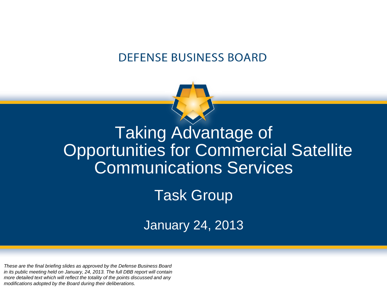#### **DEFENSE BUSINESS BOARD**



## Taking Advantage of Opportunities for Commercial Satellite Communications Services

Task Group

January 24, 2013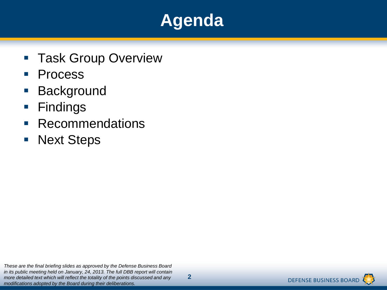## **Agenda**

- **Task Group Overview**
- **Process**
- **Background**
- **Findings**
- **Recommendations**
- **Next Steps**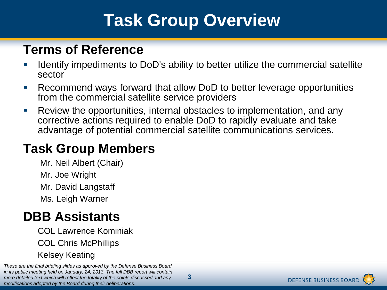## **Task Group Overview**

### **Terms of Reference**

- Identify impediments to DoD's ability to better utilize the commercial satellite sector
- Recommend ways forward that allow DoD to better leverage opportunities from the commercial satellite service providers
- Review the opportunities, internal obstacles to implementation, and any corrective actions required to enable DoD to rapidly evaluate and take advantage of potential commercial satellite communications services.

### **Task Group Members**

- Mr. Neil Albert (Chair)
- Mr. Joe Wright
- Mr. David Langstaff
- Ms. Leigh Warner

### **DBB Assistants**

 COL Lawrence Kominiak COL Chris McPhillips Kelsey Keating

*These are the final briefing slides as approved by the Defense Business Board in its public meeting held on January, 24, 2013. The full DBB report will contain more detailed text which will reflect the totality of the points discussed and any modifications adopted by the Board during their deliberations.*

**3**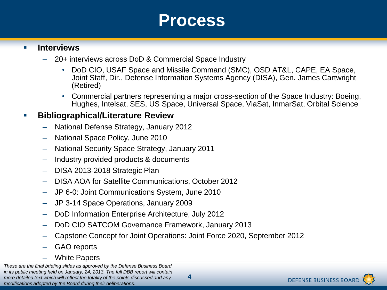## **Process**

#### **Interviews**

- 20+ interviews across DoD & Commercial Space Industry
	- DoD CIO, USAF Space and Missile Command (SMC), OSD AT&L, CAPE, EA Space, Joint Staff, Dir., Defense Information Systems Agency (DISA), Gen. James Cartwright (Retired)
	- Commercial partners representing a major cross-section of the Space Industry: Boeing, Hughes, Intelsat, SES, US Space, Universal Space, ViaSat, InmarSat, Orbital Science

#### **Bibliographical/Literature Review**

- National Defense Strategy, January 2012
- National Space Policy, June 2010
- National Security Space Strategy, January 2011
- Industry provided products & documents
- DISA 2013-2018 Strategic Plan
- DISA AOA for Satellite Communications, October 2012
- JP 6-0: Joint Communications System, June 2010
- JP 3-14 Space Operations, January 2009
- DoD Information Enterprise Architecture, July 2012
- DoD CIO SATCOM Governance Framework, January 2013
- Capstone Concept for Joint Operations: Joint Force 2020, September 2012
- GAO reports
- White Papers

*These are the final briefing slides as approved by the Defense Business Board in its public meeting held on January, 24, 2013. The full DBB report will contain more detailed text which will reflect the totality of the points discussed and any modifications adopted by the Board during their deliberations.*

**4**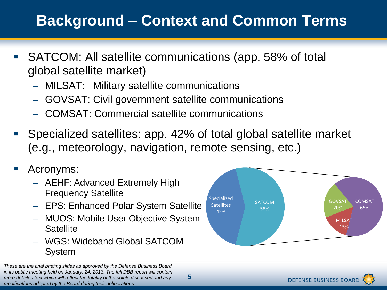## **Background – Context and Common Terms**

- SATCOM: All satellite communications (app. 58% of total global satellite market)
	- MILSAT: Military satellite communications
	- GOVSAT: Civil government satellite communications
	- COMSAT: Commercial satellite communications
- Specialized satellites: app. 42% of total global satellite market (e.g., meteorology, navigation, remote sensing, etc.)

**5**

- Acronyms:
	- AEHF: Advanced Extremely High Frequency Satellite
	- EPS: Enhanced Polar System Satellite
	- MUOS: Mobile User Objective System **Satellite**
	- WGS: Wideband Global SATCOM System

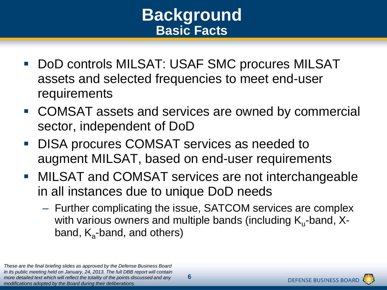## **Background Basic Facts**

- DoD controls MILSAT: USAF SMC procures MILSAT assets and selected frequencies to meet end-user requirements
- COMSAT assets and services are owned by commercial sector, independent of DoD
- **DISA procures COMSAT services as needed to** augment MILSAT, based on end-user requirements
- **MILSAT and COMSAT services are not interchangeable** in all instances due to unique DoD needs
	- Further complicating the issue, SATCOM services are complex with various owners and multiple bands (including  $\mathsf{K}_{\mathsf{u}}\text{-band}$ , Xband, K<sub>a</sub>-band, and others)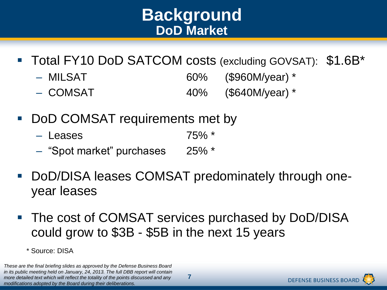## **Background DoD Market**

- Total FY10 DoD SATCOM costs (excluding GOVSAT): \$1.6B\*
	- MILSAT 60% (\$960M/year) \*
	- COMSAT 40% (\$640M/year) \*
- DoD COMSAT requirements met by
	- Leases 75% \*
	- "Spot market" purchases 25% \*
- DoD/DISA leases COMSAT predominately through oneyear leases
- The cost of COMSAT services purchased by DoD/DISA could grow to \$3B - \$5B in the next 15 years
	- \* Source: DISA

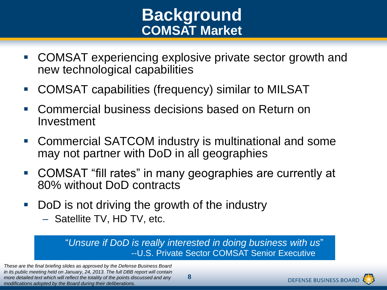## **Background COMSAT Market**

- COMSAT experiencing explosive private sector growth and new technological capabilities
- COMSAT capabilities (frequency) similar to MILSAT
- Commercial business decisions based on Return on Investment
- Commercial SATCOM industry is multinational and some may not partner with DoD in all geographies
- COMSAT "fill rates" in many geographies are currently at 80% without DoD contracts
- DoD is not driving the growth of the industry
	- Satellite TV, HD TV, etc.

"*Unsure if DoD is really interested in doing business with us*" --U.S. Private Sector COMSAT Senior Executive

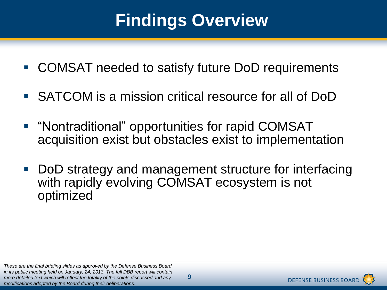## **Findings Overview**

- COMSAT needed to satisfy future DoD requirements
- SATCOM is a mission critical resource for all of DoD
- "Nontraditional" opportunities for rapid COMSAT acquisition exist but obstacles exist to implementation
- DoD strategy and management structure for interfacing with rapidly evolving COMSAT ecosystem is not optimized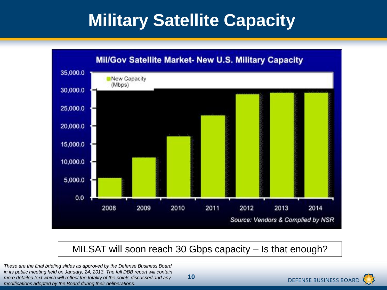## **Military Satellite Capacity**



MILSAT will soon reach 30 Gbps capacity – Is that enough?

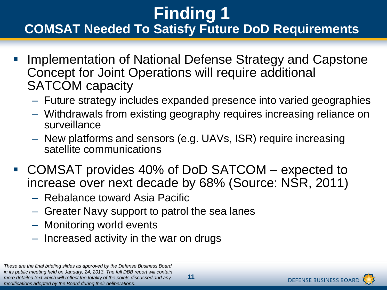## **Finding 1 COMSAT Needed To Satisfy Future DoD Requirements**

- Implementation of National Defense Strategy and Capstone Concept for Joint Operations will require additional SATCOM capacity
	- Future strategy includes expanded presence into varied geographies
	- Withdrawals from existing geography requires increasing reliance on surveillance
	- New platforms and sensors (e.g. UAVs, ISR) require increasing satellite communications
- COMSAT provides 40% of DoD SATCOM expected to increase over next decade by 68% (Source: NSR, 2011)
	- Rebalance toward Asia Pacific
	- Greater Navy support to patrol the sea lanes
	- Monitoring world events
	- Increased activity in the war on drugs

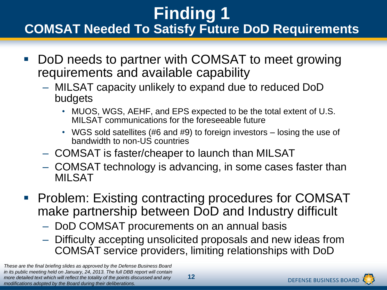## **Finding 1 COMSAT Needed To Satisfy Future DoD Requirements**

- DoD needs to partner with COMSAT to meet growing requirements and available capability
	- MILSAT capacity unlikely to expand due to reduced DoD budgets
		- MUOS, WGS, AEHF, and EPS expected to be the total extent of U.S. MILSAT communications for the foreseeable future
		- WGS sold satellites (#6 and #9) to foreign investors losing the use of bandwidth to non-US countries
	- COMSAT is faster/cheaper to launch than MILSAT
	- COMSAT technology is advancing, in some cases faster than **MILSAT**
- **Problem: Existing contracting procedures for COMSAT** make partnership between DoD and Industry difficult
	- DoD COMSAT procurements on an annual basis
	- Difficulty accepting unsolicited proposals and new ideas from COMSAT service providers, limiting relationships with DoD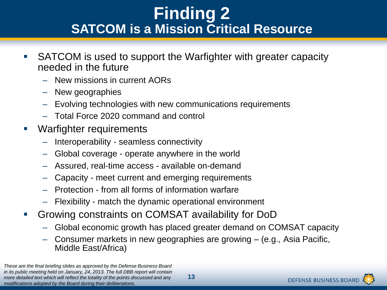## **Finding 2 SATCOM is a Mission Critical Resource**

- SATCOM is used to support the Warfighter with greater capacity needed in the future
	- New missions in current AORs
	- New geographies
	- Evolving technologies with new communications requirements
	- Total Force 2020 command and control
- Warfighter requirements
	- Interoperability seamless connectivity
	- Global coverage operate anywhere in the world
	- Assured, real-time access available on-demand
	- Capacity meet current and emerging requirements
	- Protection from all forms of information warfare
	- Flexibility match the dynamic operational environment
- Growing constraints on COMSAT availability for DoD
	- Global economic growth has placed greater demand on COMSAT capacity
	- Consumer markets in new geographies are growing (e.g., Asia Pacific, Middle East/Africa)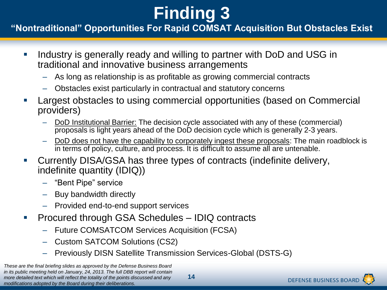#### **"Nontraditional" Opportunities For Rapid COMSAT Acquisition But Obstacles Exist**

- I lndustry is generally ready and willing to partner with DoD and USG in traditional and innovative business arrangements
	- As long as relationship is as profitable as growing commercial contracts
	- Obstacles exist particularly in contractual and statutory concerns
- Largest obstacles to using commercial opportunities (based on Commercial providers)
	- DoD Institutional Barrier: The decision cycle associated with any of these (commercial) proposals is light years ahead of the DoD decision cycle which is generally 2-3 years.
	- DoD does not have the capability to corporately ingest these proposals: The main roadblock is in terms of policy, culture, and process. It is difficult to assume all are untenable.
- Currently DISA/GSA has three types of contracts (indefinite delivery, indefinite quantity (IDIQ))
	- "Bent Pipe" service
	- Buy bandwidth directly
	- Provided end-to-end support services
- Procured through GSA Schedules IDIQ contracts
	- Future COMSATCOM Services Acquisition (FCSA)
	- Custom SATCOM Solutions (CS2)
	- Previously DISN Satellite Transmission Services-Global (DSTS-G)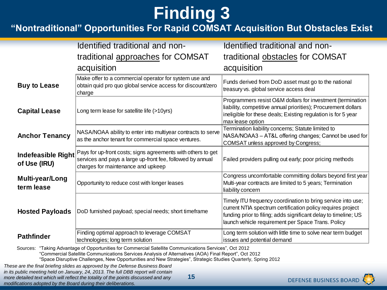#### **"Nontraditional" Opportunities For Rapid COMSAT Acquisition But Obstacles Exist**

|                                                                                                                                                                                                                 | Identified traditional and non-                                                                                                                                  | Identified traditional and non-                                                                                                                                                                                                                      |
|-----------------------------------------------------------------------------------------------------------------------------------------------------------------------------------------------------------------|------------------------------------------------------------------------------------------------------------------------------------------------------------------|------------------------------------------------------------------------------------------------------------------------------------------------------------------------------------------------------------------------------------------------------|
|                                                                                                                                                                                                                 | traditional approaches for COMSAT                                                                                                                                | traditional obstacles for COMSAT                                                                                                                                                                                                                     |
|                                                                                                                                                                                                                 | acquisition                                                                                                                                                      | acquisition                                                                                                                                                                                                                                          |
| <b>Buy to Lease</b>                                                                                                                                                                                             | Make offer to a commercial operator for system use and<br>obtain quid pro quo global service access for discount/zero<br>charge                                  | Funds derived from DoD asset must go to the national<br>treasury vs. global service access deal                                                                                                                                                      |
| <b>Capital Lease</b>                                                                                                                                                                                            | Long term lease for satellite life (>10yrs)                                                                                                                      | Programmers resist O&M dollars for investment (termination<br>liability, competitive annual priorities); Procurement dollars<br>ineligible for these deals; Existing regulation is for 5 year<br>max lease option                                    |
| <b>Anchor Tenancy</b>                                                                                                                                                                                           | NASA/NOAA ability to enter into multiyear contracts to serve<br>as the anchor tenant for commercial space ventures.                                              | Termination liability concerns; Statute limited to<br>NASA/NOAA3 - AT&L offering changes; Cannot be used for<br>COMSAT unless approved by Congress;                                                                                                  |
| <b>Indefeasible Right</b><br>of Use (IRU)                                                                                                                                                                       | Pays for up-front costs; signs agreements with others to get<br>services and pays a large up-front fee, followed by annual<br>charges for maintenance and upkeep | Failed providers pulling out early; poor pricing methods                                                                                                                                                                                             |
| Multi-year/Long<br>term lease                                                                                                                                                                                   | Opportunity to reduce cost with longer leases                                                                                                                    | Congress uncomfortable committing dollars beyond first year<br>Multi-year contracts are limited to 5 years; Termination<br>liability concern                                                                                                         |
| <b>Hosted Payloads</b>                                                                                                                                                                                          | DoD furnished payload; special needs; short timeframe                                                                                                            | Timely ITU frequency coordination to bring service into use;<br>current NTIA spectrum certification policy requires project<br>funding prior to filing; adds significant delay to timeline; US<br>launch vehicle requirement per Space Trans. Policy |
| <b>Pathfinder</b>                                                                                                                                                                                               | Finding optimal approach to leverage COMSAT<br>technologies; long term solution                                                                                  | Long term solution with little time to solve near term budget<br>issues and potential demand                                                                                                                                                         |
| Sources: "Taking Advantage of Opportunities for Commercial Satellite Communications Services", Oct 2012<br>"Commercial Satellite Communications Services Analysis of Alternatives (AOA) Final Report", Oct 2012 |                                                                                                                                                                  |                                                                                                                                                                                                                                                      |

"Space Disruptive Challenges, New Opportunities and New Strategies", Strategic Studies Quarterly, Spring 2012

*These are the final briefing slides as approved by the Defense Business Board in its public meeting held on January, 24, 2013. The full DBB report will contain more detailed text which will reflect the totality of the points discussed and any modifications adopted by the Board during their deliberations.*

**15**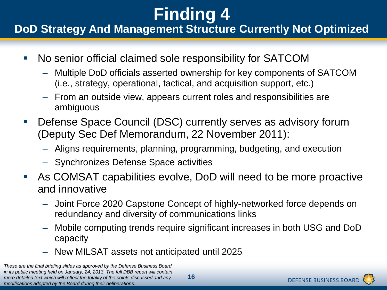#### **DoD Strategy And Management Structure Currently Not Optimized**

- No senior official claimed sole responsibility for SATCOM
	- Multiple DoD officials asserted ownership for key components of SATCOM (i.e., strategy, operational, tactical, and acquisition support, etc.)
	- From an outside view, appears current roles and responsibilities are ambiguous
- **Defense Space Council (DSC) currently serves as advisory forum** (Deputy Sec Def Memorandum, 22 November 2011):
	- Aligns requirements, planning, programming, budgeting, and execution
	- Synchronizes Defense Space activities
- As COMSAT capabilities evolve, DoD will need to be more proactive and innovative
	- Joint Force 2020 Capstone Concept of highly-networked force depends on redundancy and diversity of communications links
	- Mobile computing trends require significant increases in both USG and DoD capacity
	- New MILSAT assets not anticipated until 2025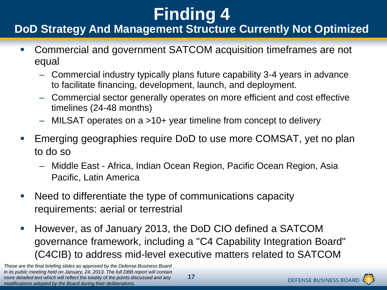#### **DoD Strategy And Management Structure Currently Not Optimized**

- Commercial and government SATCOM acquisition timeframes are not equal
	- Commercial industry typically plans future capability 3-4 years in advance to facilitate financing, development, launch, and deployment.
	- Commercial sector generally operates on more efficient and cost effective timelines (24-48 months)
	- MILSAT operates on a >10+ year timeline from concept to delivery
- Emerging geographies require DoD to use more COMSAT, yet no plan to do so
	- Middle East Africa, Indian Ocean Region, Pacific Ocean Region, Asia Pacific, Latin America
- Need to differentiate the type of communications capacity requirements: aerial or terrestrial
- **However, as of January 2013, the DoD CIO defined a SATCOM** governance framework, including a "C4 Capability Integration Board" (C4CIB) to address mid-level executive matters related to SATCOM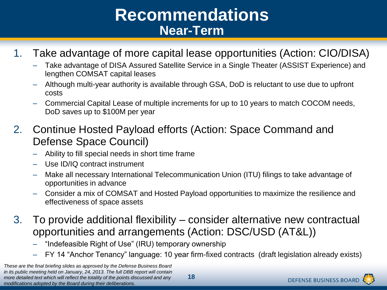## **Recommendations Near-Term**

#### 1. Take advantage of more capital lease opportunities (Action: CIO/DISA)

- Take advantage of DISA Assured Satellite Service in a Single Theater (ASSIST Experience) and lengthen COMSAT capital leases
- Although multi-year authority is available through GSA, DoD is reluctant to use due to upfront costs
- Commercial Capital Lease of multiple increments for up to 10 years to match COCOM needs, DoD saves up to \$100M per year
- 2. Continue Hosted Payload efforts (Action: Space Command and Defense Space Council)
	- Ability to fill special needs in short time frame
	- Use ID/IQ contract instrument
	- Make all necessary International Telecommunication Union (ITU) filings to take advantage of opportunities in advance
	- Consider a mix of COMSAT and Hosted Payload opportunities to maximize the resilience and effectiveness of space assets
- 3. To provide additional flexibility consider alternative new contractual opportunities and arrangements (Action: DSC/USD (AT&L))
	- "Indefeasible Right of Use" (IRU) temporary ownership
	- FY 14 "Anchor Tenancy" language: 10 year firm-fixed contracts (draft legislation already exists)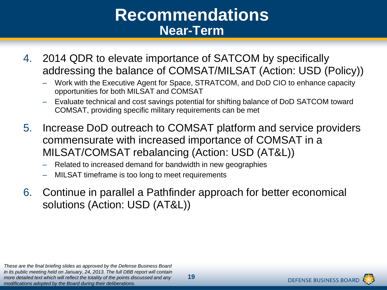## **Recommendations Near-Term**

- 4. 2014 QDR to elevate importance of SATCOM by specifically addressing the balance of COMSAT/MILSAT (Action: USD (Policy))
	- Work with the Executive Agent for Space, STRATCOM, and DoD CIO to enhance capacity opportunities for both MILSAT and COMSAT
	- Evaluate technical and cost savings potential for shifting balance of DoD SATCOM toward COMSAT, providing specific military requirements can be met
- 5. Increase DoD outreach to COMSAT platform and service providers commensurate with increased importance of COMSAT in a MILSAT/COMSAT rebalancing (Action: USD (AT&L))
	- Related to increased demand for bandwidth in new geographies
	- MILSAT timeframe is too long to meet requirements
- 6. Continue in parallel a Pathfinder approach for better economical solutions (Action: USD (AT&L))

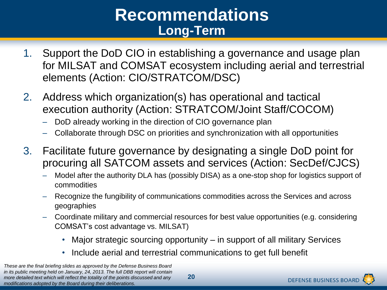## **Recommendations Long-Term**

- 1. Support the DoD CIO in establishing a governance and usage plan for MILSAT and COMSAT ecosystem including aerial and terrestrial elements (Action: CIO/STRATCOM/DSC)
- 2. Address which organization(s) has operational and tactical execution authority (Action: STRATCOM/Joint Staff/COCOM)
	- DoD already working in the direction of CIO governance plan
	- Collaborate through DSC on priorities and synchronization with all opportunities
- 3. Facilitate future governance by designating a single DoD point for procuring all SATCOM assets and services (Action: SecDef/CJCS)
	- Model after the authority DLA has (possibly DISA) as a one-stop shop for logistics support of commodities
	- Recognize the fungibility of communications commodities across the Services and across geographies
	- Coordinate military and commercial resources for best value opportunities (e.g. considering COMSAT's cost advantage vs. MILSAT)
		- Major strategic sourcing opportunity in support of all military Services
		- Include aerial and terrestrial communications to get full benefit

*These are the final briefing slides as approved by the Defense Business Board in its public meeting held on January, 24, 2013. The full DBB report will contain more detailed text which will reflect the totality of the points discussed and any modifications adopted by the Board during their deliberations.*

**20**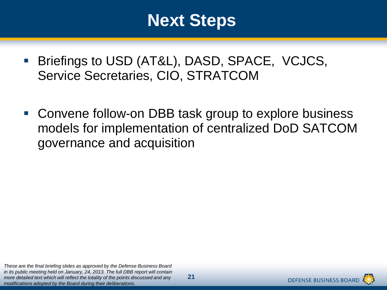## **Next Steps**

- **Briefings to USD (AT&L), DASD, SPACE, VCJCS,** Service Secretaries, CIO, STRATCOM
- Convene follow-on DBB task group to explore business models for implementation of centralized DoD SATCOM governance and acquisition